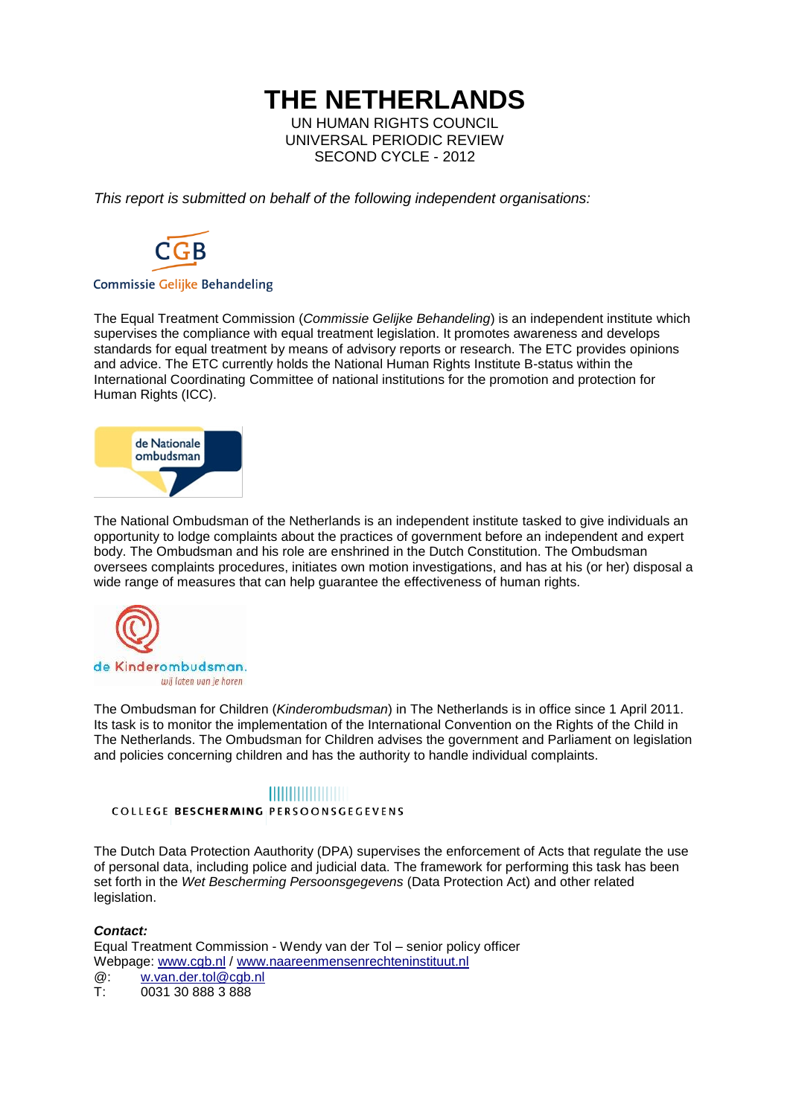# **THE NETHERLANDS**

UN HUMAN RIGHTS COUNCIL UNIVERSAL PERIODIC REVIEW SECOND CYCLE - 2012

*This report is submitted on behalf of the following independent organisations:*



#### **Commissie Gelijke Behandeling**

The Equal Treatment Commission (*Commissie Gelijke Behandeling*) is an independent institute which supervises the compliance with equal treatment legislation. It promotes awareness and develops standards for equal treatment by means of advisory reports or research. The ETC provides opinions and advice. The ETC currently holds the National Human Rights Institute B-status within the International Coordinating Committee of national institutions for the promotion and protection for Human Rights (ICC).



The National Ombudsman of the Netherlands is an independent institute tasked to give individuals an opportunity to lodge complaints about the practices of government before an independent and expert body. The Ombudsman and his role are enshrined in the Dutch Constitution. The Ombudsman oversees complaints procedures, initiates own motion investigations, and has at his (or her) disposal a wide range of measures that can help guarantee the effectiveness of human rights.



The Ombudsman for Children (*Kinderombudsman*) in The Netherlands is in office since 1 April 2011. Its task is to monitor the implementation of the International Convention on the Rights of the Child in The Netherlands. The Ombudsman for Children advises the government and Parliament on legislation and policies concerning children and has the authority to handle individual complaints.

### **HILLING COMMUNIST**

COLLEGE BESCHERMING PERSOONSGEGEVENS

The Dutch Data Protection Aauthority (DPA) supervises the enforcement of Acts that regulate the use of personal data, including police and judicial data. The framework for performing this task has been set forth in the *Wet Bescherming Persoonsgegevens* (Data Protection Act) and other related legislation.

#### *Contact:*

Equal Treatment Commission - Wendy van der Tol – senior policy officer Webpage: [www.cgb.nl](http://www.cgb.nl/) / [www.naareenmensenrechteninstituut.nl](http://www.naareenmensenrechteninstituut.nl/)

 $@:$  w.van.der.tol $@$ cgb.nl<br>T: 0031 30 888 3 888 0031 30 888 3 888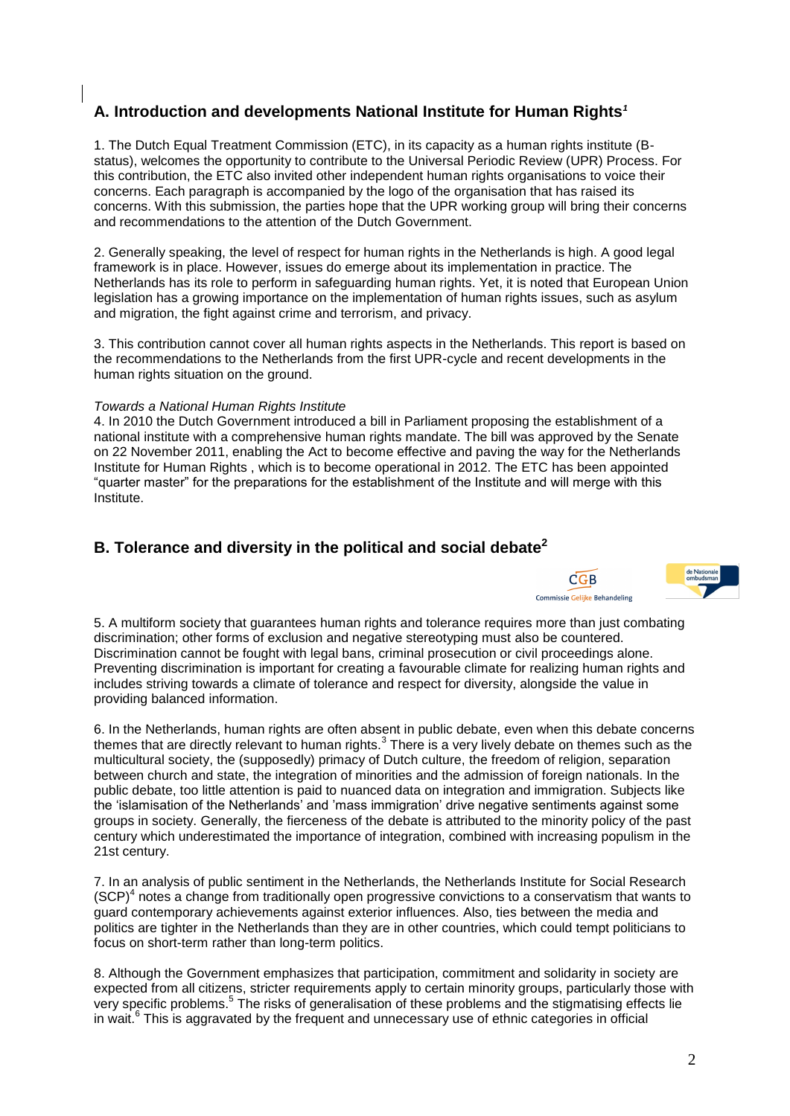# **A. Introduction and developments National Institute for Human Rights***<sup>1</sup>*

1. The Dutch Equal Treatment Commission (ETC), in its capacity as a human rights institute (Bstatus), welcomes the opportunity to contribute to the Universal Periodic Review (UPR) Process. For this contribution, the ETC also invited other independent human rights organisations to voice their concerns. Each paragraph is accompanied by the logo of the organisation that has raised its concerns. With this submission, the parties hope that the UPR working group will bring their concerns and recommendations to the attention of the Dutch Government.

2. Generally speaking, the level of respect for human rights in the Netherlands is high. A good legal framework is in place. However, issues do emerge about its implementation in practice. The Netherlands has its role to perform in safeguarding human rights. Yet, it is noted that European Union legislation has a growing importance on the implementation of human rights issues, such as asylum and migration, the fight against crime and terrorism, and privacy.

3. This contribution cannot cover all human rights aspects in the Netherlands. This report is based on the recommendations to the Netherlands from the first UPR-cycle and recent developments in the human rights situation on the ground.

#### *Towards a National Human Rights Institute*

4. In 2010 the Dutch Government introduced a bill in Parliament proposing the establishment of a national institute with a comprehensive human rights mandate. The bill was approved by the Senate on 22 November 2011, enabling the Act to become effective and paving the way for the Netherlands Institute for Human Rights , which is to become operational in 2012. The ETC has been appointed "quarter master" for the preparations for the establishment of the Institute and will merge with this Institute.

### **B. Tolerance and diversity in the political and social debate<sup>2</sup>**





5. A multiform society that guarantees human rights and tolerance requires more than just combating discrimination; other forms of exclusion and negative stereotyping must also be countered. Discrimination cannot be fought with legal bans, criminal prosecution or civil proceedings alone. Preventing discrimination is important for creating a favourable climate for realizing human rights and includes striving towards a climate of tolerance and respect for diversity, alongside the value in providing balanced information.

6. In the Netherlands, human rights are often absent in public debate, even when this debate concerns themes that are directly relevant to human rights. $3$  There is a very lively debate on themes such as the multicultural society, the (supposedly) primacy of Dutch culture, the freedom of religion, separation between church and state, the integration of minorities and the admission of foreign nationals. In the public debate, too little attention is paid to nuanced data on integration and immigration. Subjects like the "islamisation of the Netherlands" and "mass immigration" drive negative sentiments against some groups in society. Generally, the fierceness of the debate is attributed to the minority policy of the past century which underestimated the importance of integration, combined with increasing populism in the 21st century.

7. In an analysis of public sentiment in the Netherlands, the Netherlands Institute for Social Research  $(SCP)<sup>4</sup>$  notes a change from traditionally open progressive convictions to a conservatism that wants to guard contemporary achievements against exterior influences. Also, ties between the media and politics are tighter in the Netherlands than they are in other countries, which could tempt politicians to focus on short-term rather than long-term politics.

8. Although the Government emphasizes that participation, commitment and solidarity in society are expected from all citizens, stricter requirements apply to certain minority groups, particularly those with very specific problems.<sup>5</sup> The risks of generalisation of these problems and the stigmatising effects lie in wait.<sup>6</sup> This is aggravated by the frequent and unnecessary use of ethnic categories in official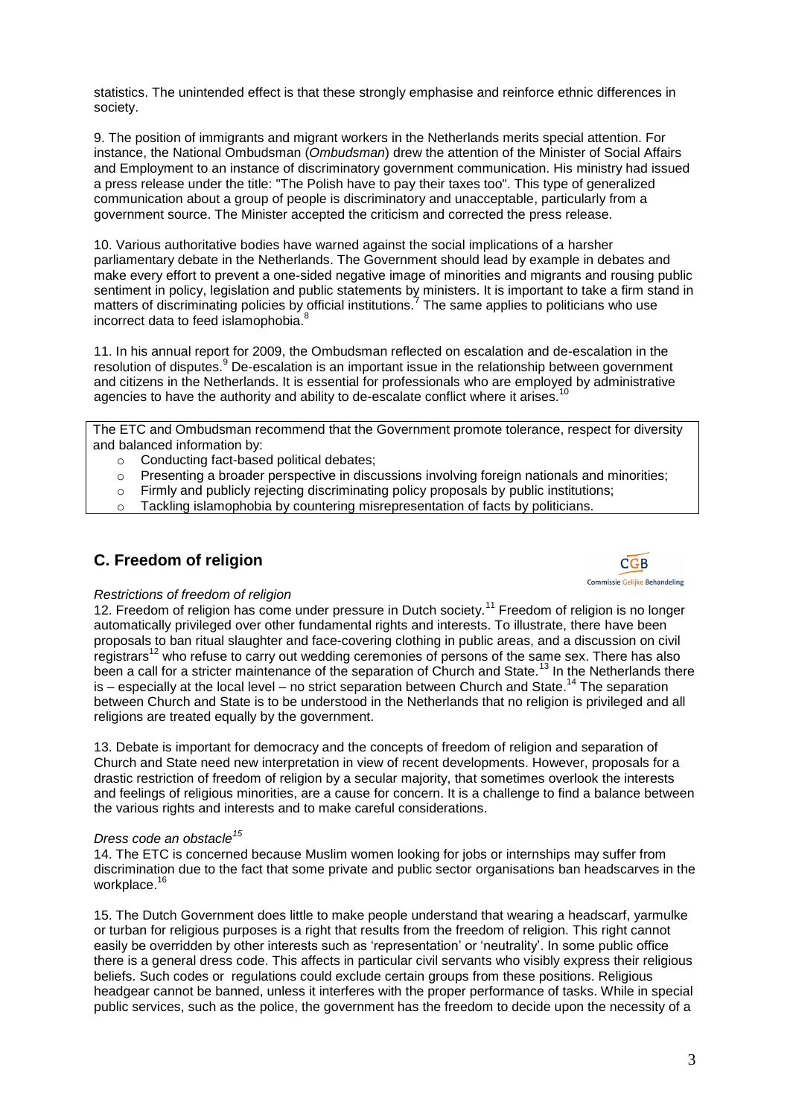statistics. The unintended effect is that these strongly emphasise and reinforce ethnic differences in society.

9. The position of immigrants and migrant workers in the Netherlands merits special attention. For instance, the National Ombudsman (*Ombudsman*) drew the attention of the Minister of Social Affairs and Employment to an instance of discriminatory government communication. His ministry had issued a press release under the title: "The Polish have to pay their taxes too". This type of generalized communication about a group of people is discriminatory and unacceptable, particularly from a government source. The Minister accepted the criticism and corrected the press release.

10. Various authoritative bodies have warned against the social implications of a harsher parliamentary debate in the Netherlands. The Government should lead by example in debates and make every effort to prevent a one-sided negative image of minorities and migrants and rousing public sentiment in policy, legislation and public statements by ministers. It is important to take a firm stand in matters of discriminating policies by official institutions.<sup>7</sup> The same applies to politicians who use incorrect data to feed islamophobia.<sup>8</sup>

11. In his annual report for 2009, the Ombudsman reflected on escalation and de-escalation in the resolution of disputes.<sup>9</sup> De-escalation is an important issue in the relationship between government and citizens in the Netherlands. It is essential for professionals who are employed by administrative agencies to have the authority and ability to de-escalate conflict where it arises.<sup>10</sup>

The ETC and Ombudsman recommend that the Government promote tolerance, respect for diversity and balanced information by:

- o Conducting fact-based political debates;<br>
o Presenting a broader perspective in discu
- Presenting a broader perspective in discussions involving foreign nationals and minorities;
- $\circ$  Firmly and publicly rejecting discriminating policy proposals by public institutions:
- $\circ$  Tackling islamophobia by countering misrepresentation of facts by politicians.

## **C. Freedom of religion**



12. Freedom of religion has come under pressure in Dutch society.<sup>11</sup> Freedom of religion is no longer automatically privileged over other fundamental rights and interests. To illustrate, there have been proposals to ban ritual slaughter and face-covering clothing in public areas, and a discussion on civil registrars<sup>12</sup> who refuse to carry out wedding ceremonies of persons of the same sex. There has also been a call for a stricter maintenance of the separation of Church and State.<sup>13</sup> In the Netherlands there is – especially at the local level – no strict separation between Church and State.<sup>14</sup> The separation between Church and State is to be understood in the Netherlands that no religion is privileged and all religions are treated equally by the government.

13. Debate is important for democracy and the concepts of freedom of religion and separation of Church and State need new interpretation in view of recent developments. However, proposals for a drastic restriction of freedom of religion by a secular majority, that sometimes overlook the interests and feelings of religious minorities, are a cause for concern. It is a challenge to find a balance between the various rights and interests and to make careful considerations.

#### *Dress code an obstacle<sup>15</sup>*

14. The ETC is concerned because Muslim women looking for jobs or internships may suffer from discrimination due to the fact that some private and public sector organisations ban headscarves in the workplace.<sup>16</sup>

15. The Dutch Government does little to make people understand that wearing a headscarf, yarmulke or turban for religious purposes is a right that results from the freedom of religion. This right cannot easily be overridden by other interests such as "representation" or "neutrality". In some public office there is a general dress code. This affects in particular civil servants who visibly express their religious beliefs. Such codes or regulations could exclude certain groups from these positions. Religious headgear cannot be banned, unless it interferes with the proper performance of tasks. While in special public services, such as the police, the government has the freedom to decide upon the necessity of a

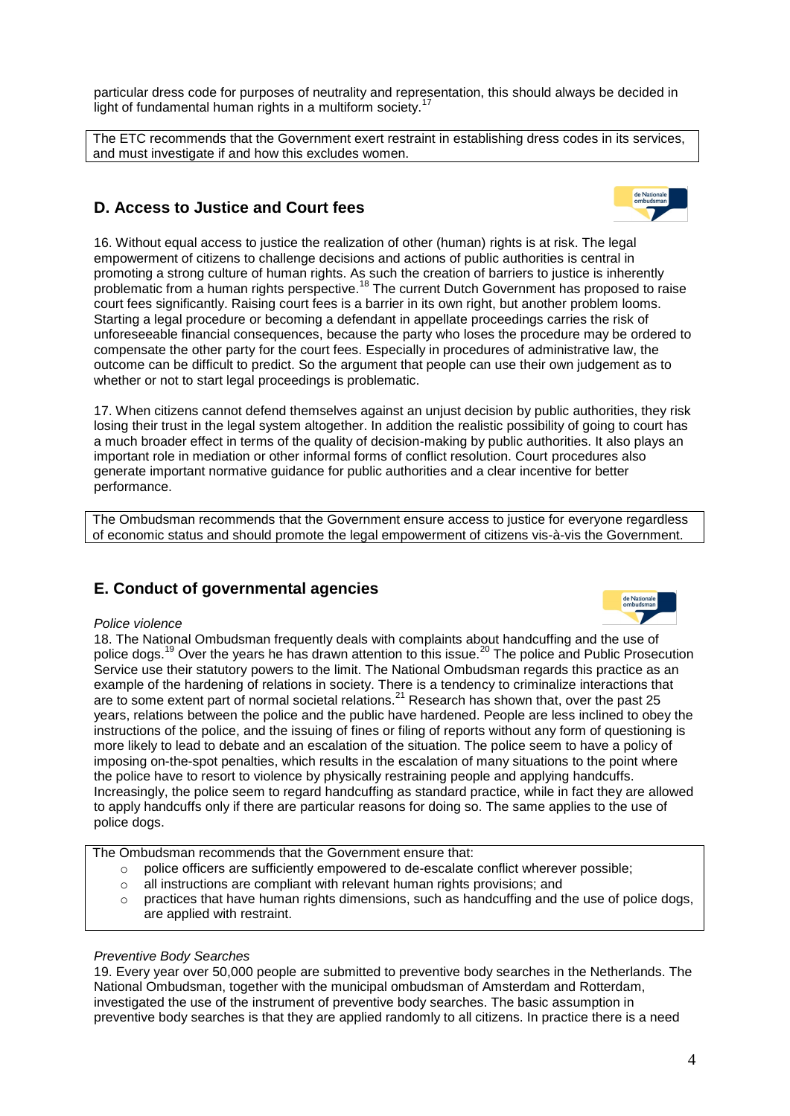particular dress code for purposes of neutrality and representation, this should always be decided in light of fundamental human rights in a multiform society.<sup>1</sup>

The ETC recommends that the Government exert restraint in establishing dress codes in its services, and must investigate if and how this excludes women.

# **D. Access to Justice and Court fees**

16. Without equal access to justice the realization of other (human) rights is at risk. The legal empowerment of citizens to challenge decisions and actions of public authorities is central in promoting a strong culture of human rights. As such the creation of barriers to justice is inherently problematic from a human rights perspective.<sup>18</sup> The current Dutch Government has proposed to raise court fees significantly. Raising court fees is a barrier in its own right, but another problem looms. Starting a legal procedure or becoming a defendant in appellate proceedings carries the risk of unforeseeable financial consequences, because the party who loses the procedure may be ordered to compensate the other party for the court fees. Especially in procedures of administrative law, the outcome can be difficult to predict. So the argument that people can use their own judgement as to whether or not to start legal proceedings is problematic.

17. When citizens cannot defend themselves against an unjust decision by public authorities, they risk losing their trust in the legal system altogether. In addition the realistic possibility of going to court has a much broader effect in terms of the quality of decision-making by public authorities. It also plays an important role in mediation or other informal forms of conflict resolution. Court procedures also generate important normative guidance for public authorities and a clear incentive for better performance.

The Ombudsman recommends that the Government ensure access to justice for everyone regardless of economic status and should promote the legal empowerment of citizens vis-à-vis the Government.

# **E. Conduct of governmental agencies**

#### *Police violence*

18. The National Ombudsman frequently deals with complaints about handcuffing and the use of police dogs.<sup>19</sup> Over the years he has drawn attention to this issue.<sup>20</sup> The police and Public Prosecution Service use their statutory powers to the limit. The National Ombudsman regards this practice as an example of the hardening of relations in society. There is a tendency to criminalize interactions that are to some extent part of normal societal relations.<sup>21</sup> Research has shown that, over the past 25 years, relations between the police and the public have hardened. People are less inclined to obey the instructions of the police, and the issuing of fines or filing of reports without any form of questioning is more likely to lead to debate and an escalation of the situation. The police seem to have a policy of imposing on-the-spot penalties, which results in the escalation of many situations to the point where the police have to resort to violence by physically restraining people and applying handcuffs. Increasingly, the police seem to regard handcuffing as standard practice, while in fact they are allowed to apply handcuffs only if there are particular reasons for doing so. The same applies to the use of police dogs.

The Ombudsman recommends that the Government ensure that:

- o police officers are sufficiently empowered to de-escalate conflict wherever possible;
- o all instructions are compliant with relevant human rights provisions; and
- $\circ$  practices that have human rights dimensions, such as handcuffing and the use of police dogs, are applied with restraint.

#### *Preventive Body Searches*

19. Every year over 50,000 people are submitted to preventive body searches in the Netherlands. The National Ombudsman, together with the municipal ombudsman of Amsterdam and Rotterdam, investigated the use of the instrument of preventive body searches. The basic assumption in preventive body searches is that they are applied randomly to all citizens. In practice there is a need

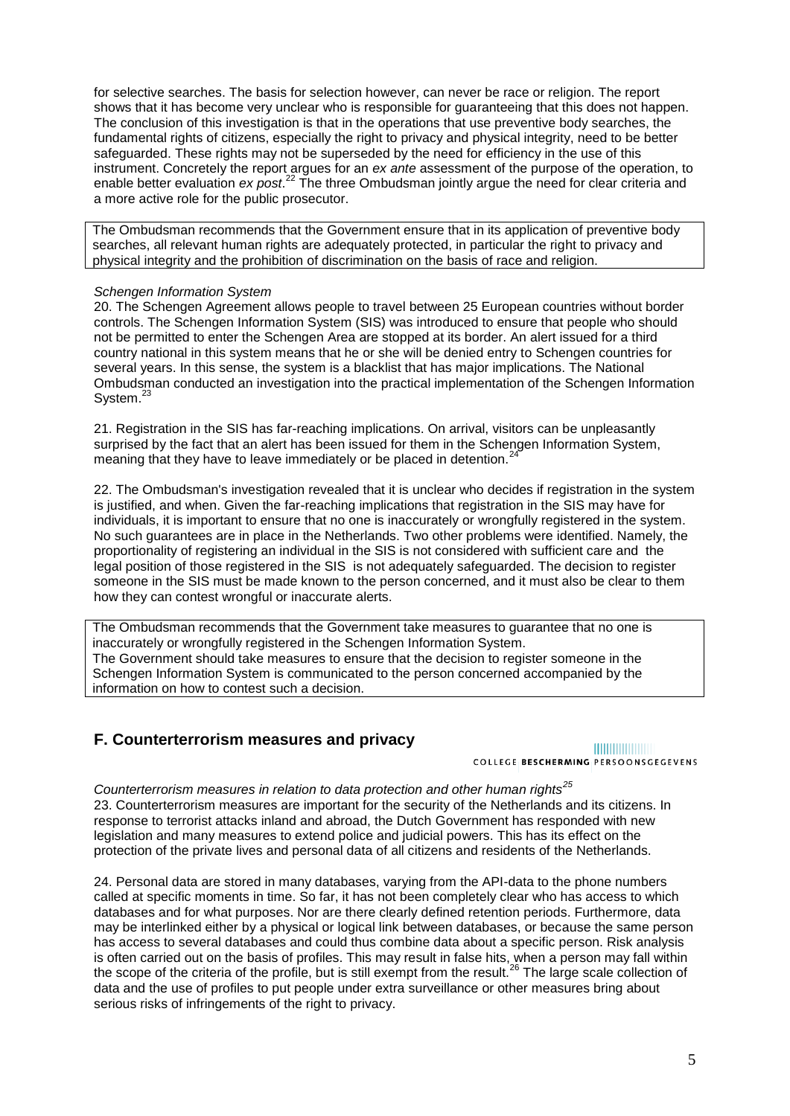for selective searches. The basis for selection however, can never be race or religion. The report shows that it has become very unclear who is responsible for guaranteeing that this does not happen. The conclusion of this investigation is that in the operations that use preventive body searches, the fundamental rights of citizens, especially the right to privacy and physical integrity, need to be better safeguarded. These rights may not be superseded by the need for efficiency in the use of this instrument. Concretely the report argues for an *ex ante* assessment of the purpose of the operation, to enable better evaluation ex post.<sup>22</sup> The three Ombudsman jointly argue the need for clear criteria and a more active role for the public prosecutor.

The Ombudsman recommends that the Government ensure that in its application of preventive body searches, all relevant human rights are adequately protected, in particular the right to privacy and physical integrity and the prohibition of discrimination on the basis of race and religion.

#### *Schengen Information System*

20. The Schengen Agreement allows people to travel between 25 European countries without border controls. The Schengen Information System (SIS) was introduced to ensure that people who should not be permitted to enter the Schengen Area are stopped at its border. An alert issued for a third country national in this system means that he or she will be denied entry to Schengen countries for several years. In this sense, the system is a blacklist that has major implications. The National Ombudsman conducted an investigation into the practical implementation of the Schengen Information System.<sup>23</sup>

21. Registration in the SIS has far-reaching implications. On arrival, visitors can be unpleasantly surprised by the fact that an alert has been issued for them in the Schengen Information System, meaning that they have to leave immediately or be placed in detention.<sup>2</sup>

22. The Ombudsman's investigation revealed that it is unclear who decides if registration in the system is justified, and when. Given the far-reaching implications that registration in the SIS may have for individuals, it is important to ensure that no one is inaccurately or wrongfully registered in the system. No such guarantees are in place in the Netherlands. Two other problems were identified. Namely, the proportionality of registering an individual in the SIS is not considered with sufficient care and the legal position of those registered in the SIS is not adequately safeguarded. The decision to register someone in the SIS must be made known to the person concerned, and it must also be clear to them how they can contest wrongful or inaccurate alerts.

The Ombudsman recommends that the Government take measures to guarantee that no one is inaccurately or wrongfully registered in the Schengen Information System. The Government should take measures to ensure that the decision to register someone in the Schengen Information System is communicated to the person concerned accompanied by the information on how to contest such a decision.

### **F. Counterterrorism measures and privacy**

### **HUILININININI**

COLLEGE BESCHERMING PERSOONSGEGEVENS

*Counterterrorism measures in relation to data protection and other human rights<sup>25</sup>* 23. Counterterrorism measures are important for the security of the Netherlands and its citizens. In response to terrorist attacks inland and abroad, the Dutch Government has responded with new legislation and many measures to extend police and judicial powers. This has its effect on the protection of the private lives and personal data of all citizens and residents of the Netherlands.

24. Personal data are stored in many databases, varying from the API-data to the phone numbers called at specific moments in time. So far, it has not been completely clear who has access to which databases and for what purposes. Nor are there clearly defined retention periods. Furthermore, data may be interlinked either by a physical or logical link between databases, or because the same person has access to several databases and could thus combine data about a specific person. Risk analysis is often carried out on the basis of profiles. This may result in false hits, when a person may fall within the scope of the criteria of the profile, but is still exempt from the result.<sup>26</sup> The large scale collection of data and the use of profiles to put people under extra surveillance or other measures bring about serious risks of infringements of the right to privacy.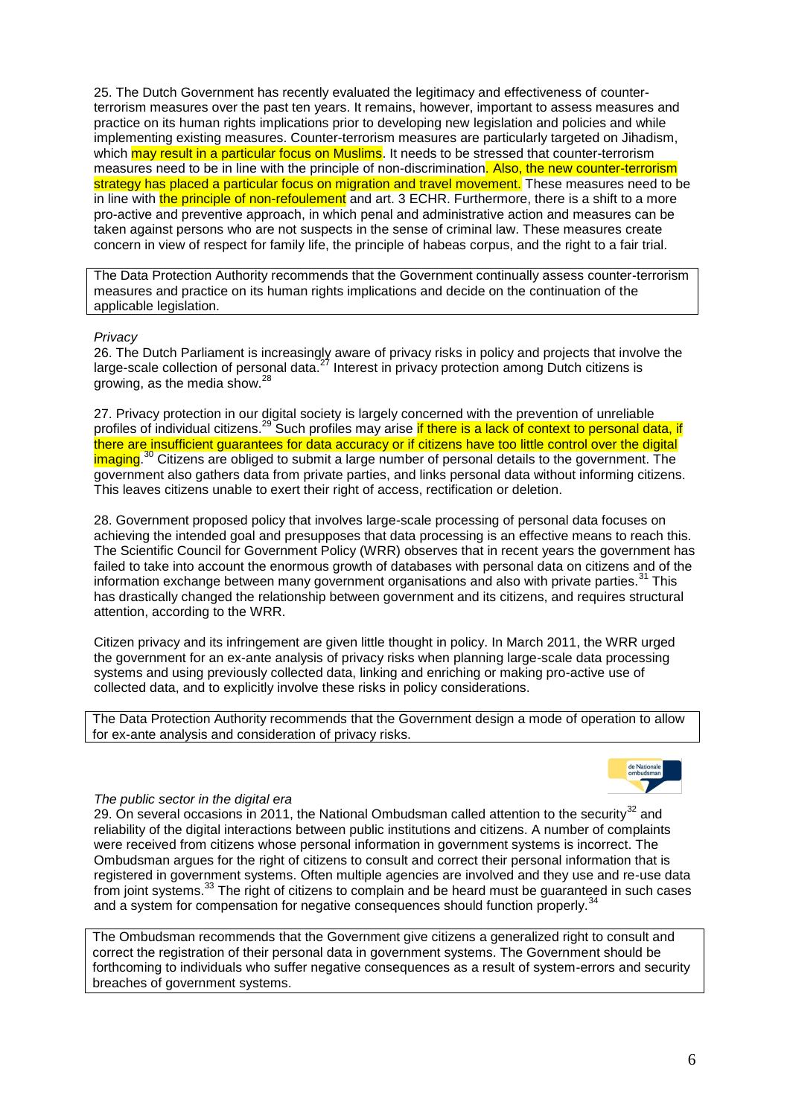25. The Dutch Government has recently evaluated the legitimacy and effectiveness of counterterrorism measures over the past ten years. It remains, however, important to assess measures and practice on its human rights implications prior to developing new legislation and policies and while implementing existing measures. Counter-terrorism measures are particularly targeted on Jihadism, which may result in a particular focus on Muslims. It needs to be stressed that counter-terrorism measures need to be in line with the principle of non-discrimination. Also, the new counter-terrorism strategy has placed a particular focus on migration and travel movement. These measures need to be in line with the principle of non-refoulement and art. 3 ECHR. Furthermore, there is a shift to a more pro-active and preventive approach, in which penal and administrative action and measures can be taken against persons who are not suspects in the sense of criminal law. These measures create concern in view of respect for family life, the principle of habeas corpus, and the right to a fair trial.

The Data Protection Authority recommends that the Government continually assess counter-terrorism measures and practice on its human rights implications and decide on the continuation of the applicable legislation.

#### *Privacy*

26. The Dutch Parliament is increasingly aware of privacy risks in policy and projects that involve the large-scale collection of personal data.<sup>27</sup> Interest in privacy protection among Dutch citizens is growing, as the media show.<sup>28</sup>

27. Privacy protection in our digital society is largely concerned with the prevention of unreliable profiles of individual citizens.<sup>29</sup> Such profiles may arise if there is a lack of context to personal data, if there are insufficient guarantees for data accuracy or if citizens have too little control over the digital imaging.<sup>30</sup> Citizens are obliged to submit a large number of personal details to the government. The government also gathers data from private parties, and links personal data without informing citizens. This leaves citizens unable to exert their right of access, rectification or deletion.

28. Government proposed policy that involves large-scale processing of personal data focuses on achieving the intended goal and presupposes that data processing is an effective means to reach this. The Scientific Council for Government Policy (WRR) observes that in recent years the government has failed to take into account the enormous growth of databases with personal data on citizens and of the information exchange between many government organisations and also with private parties.<sup>31</sup> This has drastically changed the relationship between government and its citizens, and requires structural attention, according to the WRR.

Citizen privacy and its infringement are given little thought in policy. In March 2011, the WRR urged the government for an ex-ante analysis of privacy risks when planning large-scale data processing systems and using previously collected data, linking and enriching or making pro-active use of collected data, and to explicitly involve these risks in policy considerations.

The Data Protection Authority recommends that the Government design a mode of operation to allow for ex-ante analysis and consideration of privacy risks.



#### *The public sector in the digital era*

29. On several occasions in 2011, the National Ombudsman called attention to the security<sup>32</sup> and reliability of the digital interactions between public institutions and citizens. A number of complaints were received from citizens whose personal information in government systems is incorrect. The Ombudsman argues for the right of citizens to consult and correct their personal information that is registered in government systems. Often multiple agencies are involved and they use and re-use data from joint systems.<sup>33</sup> The right of citizens to complain and be heard must be guaranteed in such cases and a system for compensation for negative consequences should function properly.<sup>34</sup>

The Ombudsman recommends that the Government give citizens a generalized right to consult and correct the registration of their personal data in government systems. The Government should be forthcoming to individuals who suffer negative consequences as a result of system-errors and security breaches of government systems.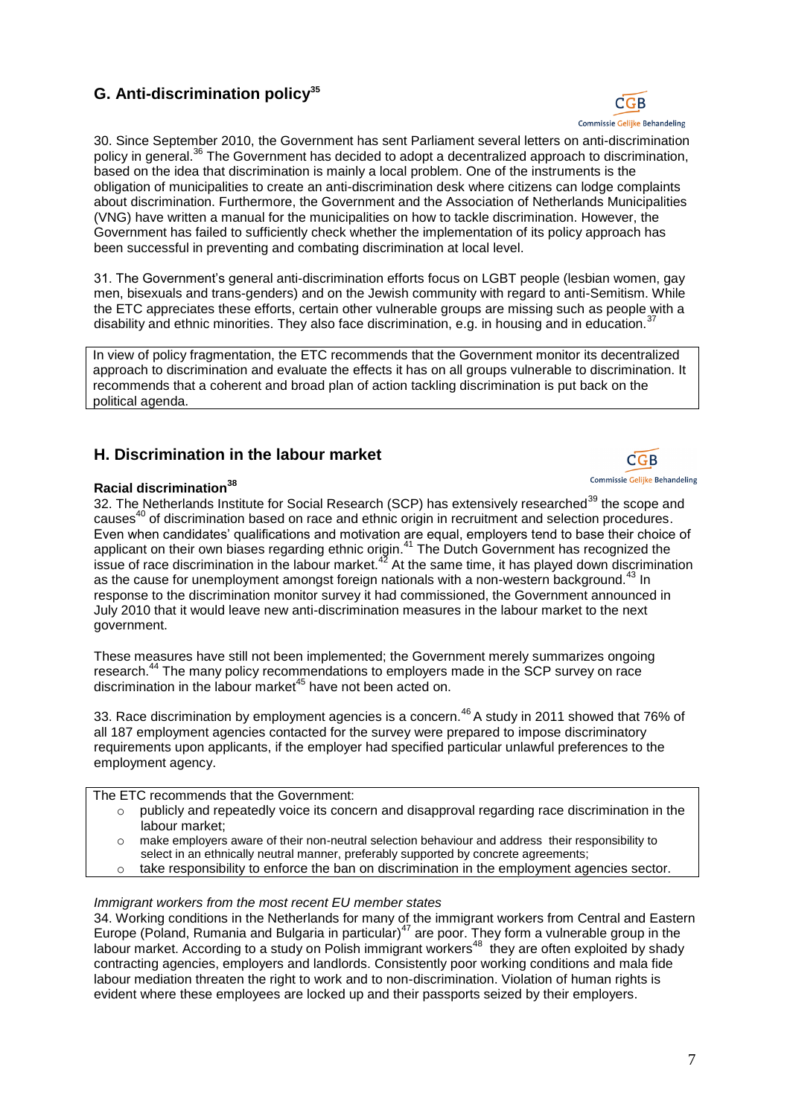# **G. Anti-discrimination policy<sup>35</sup>**



30. Since September 2010, the Government has sent Parliament several letters on anti-discrimination policy in general.<sup>36</sup> The Government has decided to adopt a decentralized approach to discrimination, based on the idea that discrimination is mainly a local problem. One of the instruments is the obligation of municipalities to create an anti-discrimination desk where citizens can lodge complaints about discrimination. Furthermore, the Government and the Association of Netherlands Municipalities (VNG) have written a manual for the municipalities on how to tackle discrimination. However, the Government has failed to sufficiently check whether the implementation of its policy approach has been successful in preventing and combating discrimination at local level.

31. The Government"s general anti-discrimination efforts focus on LGBT people (lesbian women, gay men, bisexuals and trans-genders) and on the Jewish community with regard to anti-Semitism. While the ETC appreciates these efforts, certain other vulnerable groups are missing such as people with a disability and ethnic minorities. They also face discrimination, e.g. in housing and in education.<sup>3</sup>

In view of policy fragmentation, the ETC recommends that the Government monitor its decentralized approach to discrimination and evaluate the effects it has on all groups vulnerable to discrimination. It recommends that a coherent and broad plan of action tackling discrimination is put back on the political agenda.

# **H. Discrimination in the labour market**



32. The Netherlands Institute for Social Research (SCP) has extensively researched<sup>39</sup> the scope and causes<sup>40</sup> of discrimination based on race and ethnic origin in recruitment and selection procedures. Even when candidates' qualifications and motivation are equal, employers tend to base their choice of applicant on their own biases regarding ethnic origin.<sup>41</sup> The Dutch Government has recognized the issue of race discrimination in the labour market. $42$  At the same time, it has played down discrimination as the cause for unemployment amongst foreign nationals with a non-western background.<sup>43</sup> In response to the discrimination monitor survey it had commissioned, the Government announced in July 2010 that it would leave new anti-discrimination measures in the labour market to the next government.

These measures have still not been implemented; the Government merely summarizes ongoing research.<sup>44</sup> The many policy recommendations to employers made in the SCP survey on race discrimination in the labour market<sup>45</sup> have not been acted on.

33. Race discrimination by employment agencies is a concern.<sup>46</sup> A study in 2011 showed that 76% of all 187 employment agencies contacted for the survey were prepared to impose discriminatory requirements upon applicants, if the employer had specified particular unlawful preferences to the employment agency.

#### The ETC recommends that the Government:

- o publicly and repeatedly voice its concern and disapproval regarding race discrimination in the labour market;
- o make employers aware of their non-neutral selection behaviour and address their responsibility to select in an ethnically neutral manner, preferably supported by concrete agreements;
- $\circ$  take responsibility to enforce the ban on discrimination in the employment agencies sector.

#### *Immigrant workers from the most recent EU member states*

34. Working conditions in the Netherlands for many of the immigrant workers from Central and Eastern Europe (Poland, Rumania and Bulgaria in particular)<sup>47</sup> are poor. They form a vulnerable group in the labour market. According to a study on Polish immigrant workers<sup>48</sup> they are often exploited by shady contracting agencies, employers and landlords. Consistently poor working conditions and mala fide labour mediation threaten the right to work and to non-discrimination. Violation of human rights is evident where these employees are locked up and their passports seized by their employers.

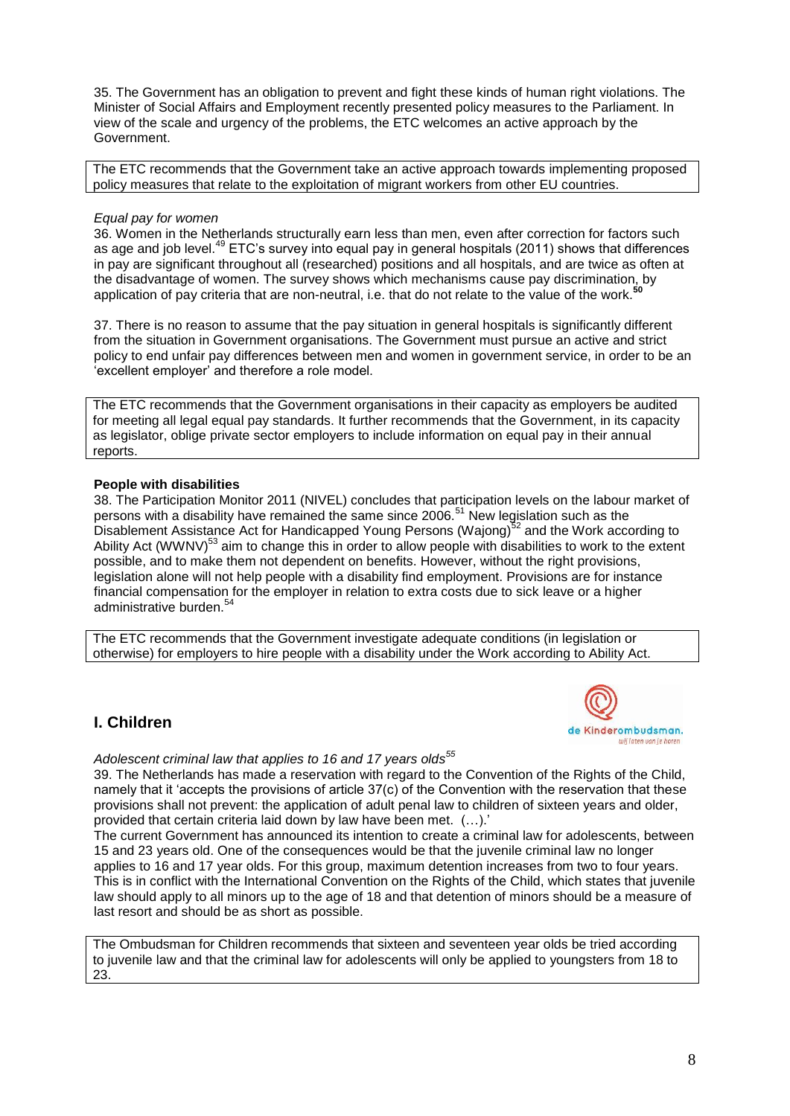35. The Government has an obligation to prevent and fight these kinds of human right violations. The Minister of Social Affairs and Employment recently presented policy measures to the Parliament. In view of the scale and urgency of the problems, the ETC welcomes an active approach by the Government.

The ETC recommends that the Government take an active approach towards implementing proposed policy measures that relate to the exploitation of migrant workers from other EU countries.

#### *Equal pay for women*

36. Women in the Netherlands structurally earn less than men, even after correction for factors such as age and job level.<sup>49</sup> ETC's survey into equal pay in general hospitals (2011) shows that differences in pay are significant throughout all (researched) positions and all hospitals, and are twice as often at the disadvantage of women. The survey shows which mechanisms cause pay discrimination, by application of pay criteria that are non-neutral, i.e. that do not relate to the value of the work.**<sup>50</sup>**

37. There is no reason to assume that the pay situation in general hospitals is significantly different from the situation in Government organisations. The Government must pursue an active and strict policy to end unfair pay differences between men and women in government service, in order to be an "excellent employer" and therefore a role model.

The ETC recommends that the Government organisations in their capacity as employers be audited for meeting all legal equal pay standards. It further recommends that the Government, in its capacity as legislator, oblige private sector employers to include information on equal pay in their annual reports.

#### **People with disabilities**

38. The Participation Monitor 2011 (NIVEL) concludes that participation levels on the labour market of persons with a disability have remained the same since 2006.<sup>51</sup> New legislation such as the Disablement Assistance Act for Handicapped Young Persons (Wajong)<sup>52</sup> and the Work according to Ability Act (WWNV)<sup>53</sup> aim to change this in order to allow people with disabilities to work to the extent possible, and to make them not dependent on benefits. However, without the right provisions, legislation alone will not help people with a disability find employment. Provisions are for instance financial compensation for the employer in relation to extra costs due to sick leave or a higher administrative burden.<sup>54</sup>

The ETC recommends that the Government investigate adequate conditions (in legislation or otherwise) for employers to hire people with a disability under the Work according to Ability Act.

### **I. Children**



*Adolescent criminal law that applies to 16 and 17 years olds 55*

39. The Netherlands has made a reservation with regard to the Convention of the Rights of the Child, namely that it 'accepts the provisions of article 37(c) of the Convention with the reservation that these provisions shall not prevent: the application of adult penal law to children of sixteen years and older, provided that certain criteria laid down by law have been met. (...).

The current Government has announced its intention to create a criminal law for adolescents, between 15 and 23 years old. One of the consequences would be that the juvenile criminal law no longer applies to 16 and 17 year olds. For this group, maximum detention increases from two to four years. This is in conflict with the International Convention on the Rights of the Child, which states that juvenile law should apply to all minors up to the age of 18 and that detention of minors should be a measure of last resort and should be as short as possible.

The Ombudsman for Children recommends that sixteen and seventeen year olds be tried according to juvenile law and that the criminal law for adolescents will only be applied to youngsters from 18 to 23.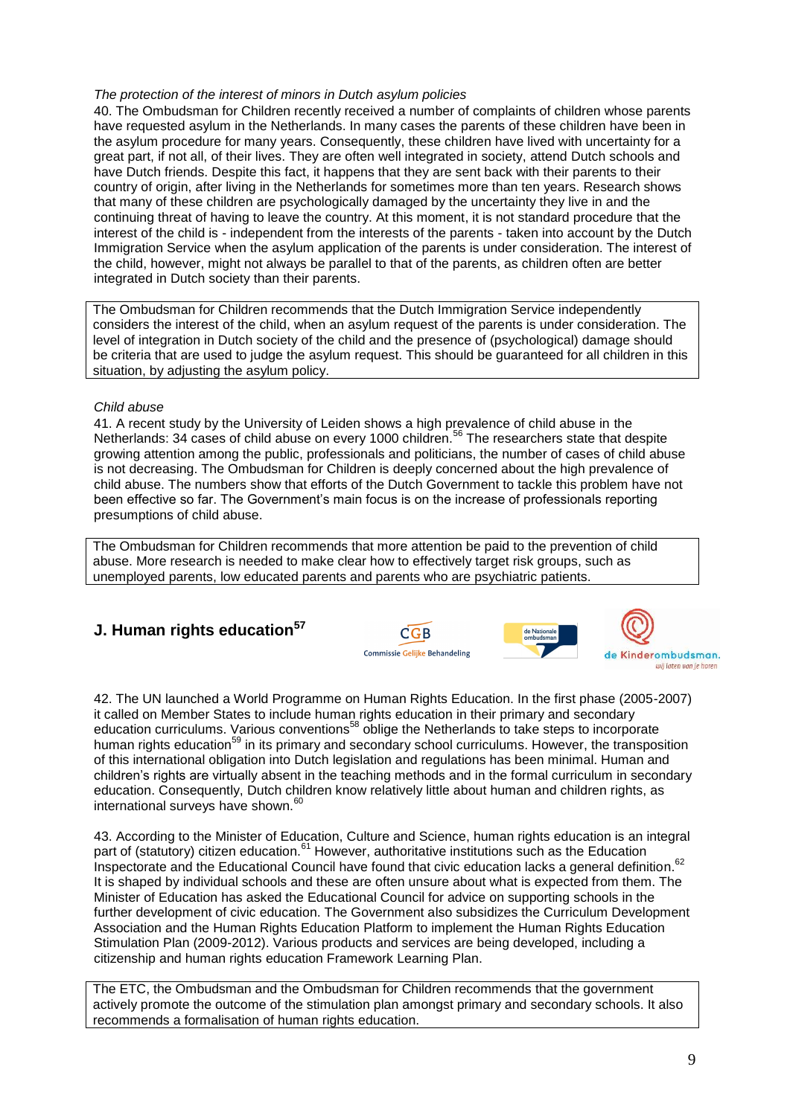#### *The protection of the interest of minors in Dutch asylum policies*

40. The Ombudsman for Children recently received a number of complaints of children whose parents have requested asylum in the Netherlands. In many cases the parents of these children have been in the asylum procedure for many years. Consequently, these children have lived with uncertainty for a great part, if not all, of their lives. They are often well integrated in society, attend Dutch schools and have Dutch friends. Despite this fact, it happens that they are sent back with their parents to their country of origin, after living in the Netherlands for sometimes more than ten years. Research shows that many of these children are psychologically damaged by the uncertainty they live in and the continuing threat of having to leave the country. At this moment, it is not standard procedure that the interest of the child is - independent from the interests of the parents - taken into account by the Dutch Immigration Service when the asylum application of the parents is under consideration. The interest of the child, however, might not always be parallel to that of the parents, as children often are better integrated in Dutch society than their parents.

The Ombudsman for Children recommends that the Dutch Immigration Service independently considers the interest of the child, when an asylum request of the parents is under consideration. The level of integration in Dutch society of the child and the presence of (psychological) damage should be criteria that are used to judge the asylum request. This should be guaranteed for all children in this situation, by adjusting the asylum policy.

#### *Child abuse*

41. A recent study by the University of Leiden shows a high prevalence of child abuse in the Netherlands: 34 cases of child abuse on every 1000 children.<sup>56</sup> The researchers state that despite growing attention among the public, professionals and politicians, the number of cases of child abuse is not decreasing. The Ombudsman for Children is deeply concerned about the high prevalence of child abuse. The numbers show that efforts of the Dutch Government to tackle this problem have not been effective so far. The Government's main focus is on the increase of professionals reporting presumptions of child abuse.

The Ombudsman for Children recommends that more attention be paid to the prevention of child abuse. More research is needed to make clear how to effectively target risk groups, such as unemployed parents, low educated parents and parents who are psychiatric patients.

# **J. Human rights education<sup>57</sup>**





42. The UN launched a World Programme on Human Rights Education. In the first phase (2005-2007) it called on Member States to include human rights education in their primary and secondary education curriculums. Various conventions<sup>58</sup> oblige the Netherlands to take steps to incorporate human rights education<sup>59</sup> in its primary and secondary school curriculums. However, the transposition of this international obligation into Dutch legislation and regulations has been minimal. Human and children"s rights are virtually absent in the teaching methods and in the formal curriculum in secondary education. Consequently, Dutch children know relatively little about human and children rights, as international surveys have shown.<sup>60</sup>

43. According to the Minister of Education, Culture and Science, human rights education is an integral part of (statutory) citizen education.<sup>61</sup> However, authoritative institutions such as the Education Inspectorate and the Educational Council have found that civic education lacks a general definition.<sup>62</sup> It is shaped by individual schools and these are often unsure about what is expected from them. The Minister of Education has asked the Educational Council for advice on supporting schools in the further development of civic education. The Government also subsidizes the Curriculum Development Association and the Human Rights Education Platform to implement the Human Rights Education Stimulation Plan (2009-2012). Various products and services are being developed, including a citizenship and human rights education Framework Learning Plan.

The ETC, the Ombudsman and the Ombudsman for Children recommends that the government actively promote the outcome of the stimulation plan amongst primary and secondary schools. It also recommends a formalisation of human rights education.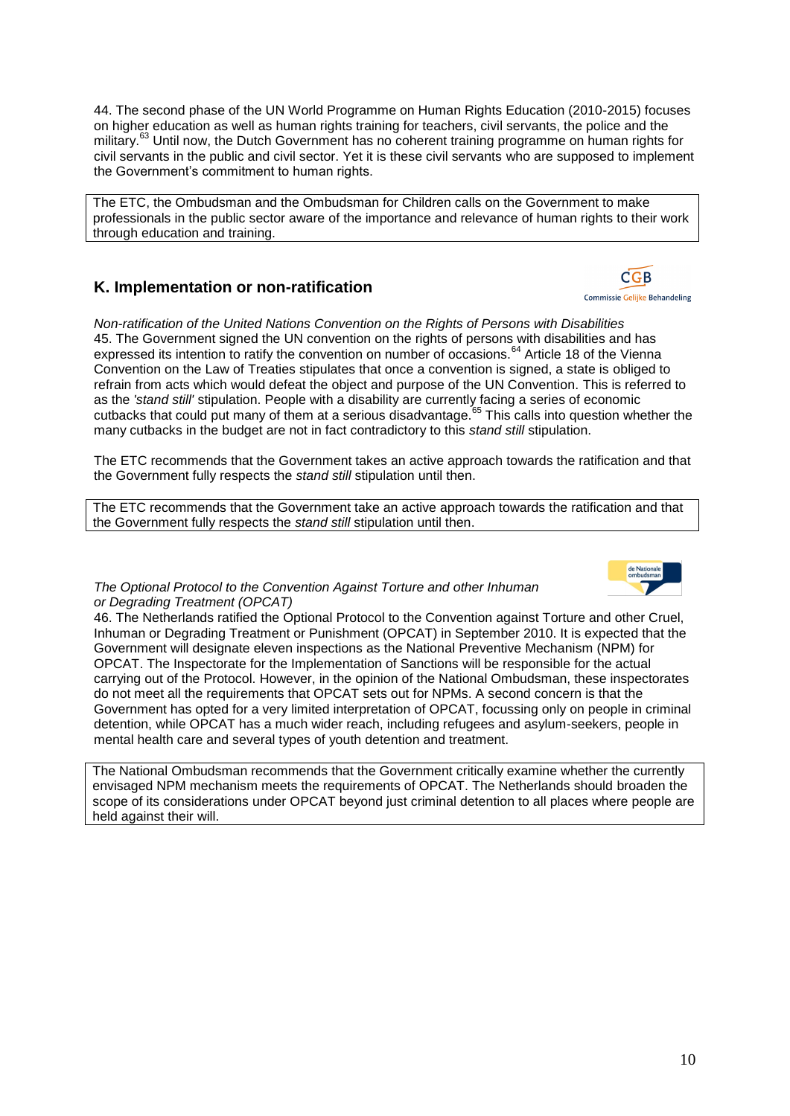44. The second phase of the UN World Programme on Human Rights Education (2010-2015) focuses on higher education as well as human rights training for teachers, civil servants, the police and the military.<sup>63</sup> Until now, the Dutch Government has no coherent training programme on human rights for civil servants in the public and civil sector. Yet it is these civil servants who are supposed to implement the Government"s commitment to human rights.

The ETC, the Ombudsman and the Ombudsman for Children calls on the Government to make professionals in the public sector aware of the importance and relevance of human rights to their work through education and training.

### **K. Implementation or non-ratification**

*Non-ratification of the United Nations Convention on the Rights of Persons with Disabilities* 45. The Government signed the UN convention on the rights of persons with disabilities and has expressed its intention to ratify the convention on number of occasions.<sup>64</sup> Article 18 of the Vienna Convention on the Law of Treaties stipulates that once a convention is signed, a state is obliged to refrain from acts which would defeat the object and purpose of the UN Convention. This is referred to as the *'stand still'* stipulation. People with a disability are currently facing a series of economic cutbacks that could put many of them at a serious disadvantage.<sup>65</sup> This calls into question whether the many cutbacks in the budget are not in fact contradictory to this *stand still* stipulation.

The ETC recommends that the Government takes an active approach towards the ratification and that the Government fully respects the *stand still* stipulation until then.

The ETC recommends that the Government take an active approach towards the ratification and that the Government fully respects the *stand still* stipulation until then.

#### *The Optional Protocol to the Convention Against Torture and other Inhuman or Degrading Treatment (OPCAT)*

46. The Netherlands ratified the Optional Protocol to the Convention against Torture and other Cruel, Inhuman or Degrading Treatment or Punishment (OPCAT) in September 2010. It is expected that the Government will designate eleven inspections as the National Preventive Mechanism (NPM) for OPCAT. The Inspectorate for the Implementation of Sanctions will be responsible for the actual carrying out of the Protocol. However, in the opinion of the National Ombudsman, these inspectorates do not meet all the requirements that OPCAT sets out for NPMs. A second concern is that the Government has opted for a very limited interpretation of OPCAT, focussing only on people in criminal detention, while OPCAT has a much wider reach, including refugees and asylum-seekers, people in mental health care and several types of youth detention and treatment.

The National Ombudsman recommends that the Government critically examine whether the currently envisaged NPM mechanism meets the requirements of OPCAT. The Netherlands should broaden the scope of its considerations under OPCAT beyond just criminal detention to all places where people are held against their will.



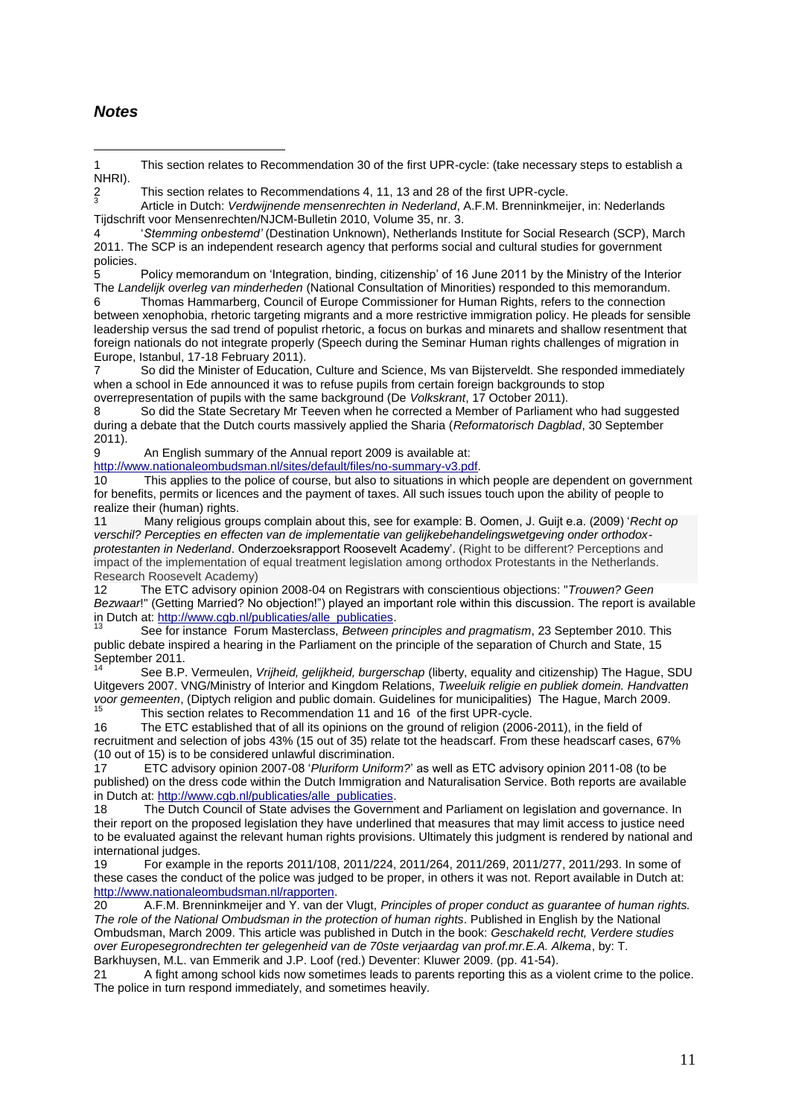### *Notes*

<u>.</u>

1 This section relates to Recommendation 30 of the first UPR-cycle: (take necessary steps to establish a NHRI).

2 This section relates to Recommendations 4, 11, 13 and 28 of the first UPR-cycle.

 $\frac{2}{3}$ Article in Dutch: *Verdwijnende mensenrechten in Nederland*, A.F.M. Brenninkmeijer, in: Nederlands Tijdschrift voor Mensenrechten/NJCM-Bulletin 2010, Volume 35, nr. 3.

4 "*Stemming onbestemd'* (Destination Unknown), Netherlands Institute for Social Research (SCP), March 2011. The SCP is an independent research agency that performs social and cultural studies for government policies.

5 Policy memorandum on "Integration, binding, citizenship" of 16 June 2011 by the Ministry of the Interior The *Landelijk overleg van minderheden* (National Consultation of Minorities) responded to this memorandum.

6 Thomas Hammarberg, Council of Europe Commissioner for Human Rights, refers to the connection between xenophobia, rhetoric targeting migrants and a more restrictive immigration policy. He pleads for sensible leadership versus the sad trend of populist rhetoric, a focus on burkas and minarets and shallow resentment that foreign nationals do not integrate properly (Speech during the Seminar Human rights challenges of migration in Europe, Istanbul, 17-18 February 2011).

7 So did the Minister of Education, Culture and Science, Ms van Bijsterveldt. She responded immediately when a school in Ede announced it was to refuse pupils from certain foreign backgrounds to stop overrepresentation of pupils with the same background (De *Volkskrant*, 17 October 2011).

8 So did the State Secretary Mr Teeven when he corrected a Member of Parliament who had suggested during a debate that the Dutch courts massively applied the Sharia (*Reformatorisch Dagblad*, 30 September 2011).

9 An English summary of the Annual report 2009 is available at:

[http://www.nationaleombudsman.nl/sites/default/files/no-summary-v3.pdf.](http://www.nationaleombudsman.nl/sites/default/files/no-summary-v3.pdf)

10 This applies to the police of course, but also to situations in which people are dependent on government for benefits, permits or licences and the payment of taxes. All such issues touch upon the ability of people to realize their (human) rights.

11 Many religious groups complain about this, see for example: B. Oomen, J. Guijt e.a. (2009) "*Recht op verschil? Percepties en effecten van de implementatie van gelijkebehandelingswetgeving onder orthodoxprotestanten in Nederland*. Onderzoeksrapport Roosevelt Academy". (Right to be different? Perceptions and impact of the implementation of equal treatment legislation among orthodox Protestants in the Netherlands. Research Roosevelt Academy)

12 The ETC advisory opinion 2008-04 on Registrars with conscientious objections: "*Trouwen? Geen Bezwaar*!" (Getting Married? No objection!") played an important role within this discussion. The report is available in Dutch at: [http://www.cgb.nl/publicaties/alle\\_publicaties.](http://www.cgb.nl/publicaties/alle_publicaties)

<sup>13</sup> See for instance Forum Masterclass, *Between principles and pragmatism*, 23 September 2010. This public debate inspired a hearing in the Parliament on the principle of the separation of Church and State, 15 September 2011.

<sup>14</sup> See B.P. Vermeulen, *Vrijheid, gelijkheid, burgerschap* (liberty, equality and citizenship) The Hague, SDU Uitgevers 2007. VNG/Ministry of Interior and Kingdom Relations, *Tweeluik religie en publiek domein. Handvatten voor gemeenten*, (Diptych religion and public domain. Guidelines for municipalities) The Hague, March 2009. This section relates to Recommendation 11 and 16 of the first UPR-cycle.

16 The ETC established that of all its opinions on the ground of religion (2006-2011), in the field of recruitment and selection of jobs 43% (15 out of 35) relate tot the headscarf. From these headscarf cases, 67% (10 out of 15) is to be considered unlawful discrimination.

17 ETC advisory opinion 2007-08 "*Pluriform Uniform?*" as well as ETC advisory opinion 2011-08 (to be published) on the dress code within the Dutch Immigration and Naturalisation Service. Both reports are available in Dutch at: [http://www.cgb.nl/publicaties/alle\\_publicaties.](http://www.cgb.nl/publicaties/alle_publicaties)

18 The Dutch Council of State advises the Government and Parliament on legislation and governance. In their report on the proposed legislation they have underlined that measures that may limit access to justice need to be evaluated against the relevant human rights provisions. Ultimately this judgment is rendered by national and international judges.

19 For example in the reports 2011/108, 2011/224, 2011/264, 2011/269, 2011/277, 2011/293. In some of these cases the conduct of the police was judged to be proper, in others it was not. Report available in Dutch at: [http://www.nationaleombudsman.nl/rapporten.](http://www.nationaleombudsman.nl/rapporten)

20 A.F.M. Brenninkmeijer and Y. van der Vlugt, *Principles of proper conduct as guarantee of human rights. The role of the National Ombudsman in the protection of human rights*. Published in English by the National Ombudsman, March 2009. This article was published in Dutch in the book: *Geschakeld recht, Verdere studies over Europesegrondrechten ter gelegenheid van de 70ste verjaardag van prof.mr.E.A. Alkema*, by: T. Barkhuysen, M.L. van Emmerik and J.P. Loof (red.) Deventer: Kluwer 2009. (pp. 41-54).

21 A fight among school kids now sometimes leads to parents reporting this as a violent crime to the police. The police in turn respond immediately, and sometimes heavily.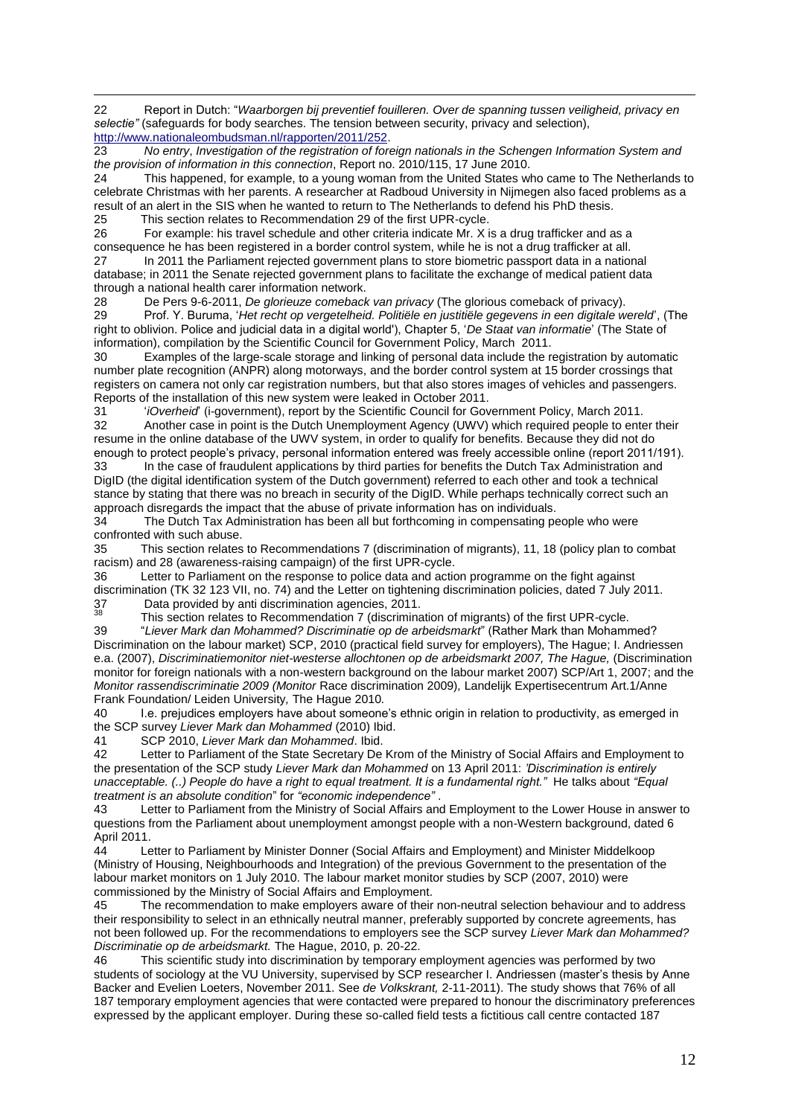22 Report in Dutch: "*Waarborgen bij preventief fouilleren. Over de spanning tussen veiligheid, privacy en selectie"* (safeguards for body searches. The tension between security, privacy and selection), [http://www.nationaleombudsman.nl/rapporten/2011/252.](http://www.nationaleombudsman.nl/rapporten/2011/252)

23 *No entry*, *Investigation of the registration of foreign nationals in the Schengen Information System and the provision of information in this connection*, Report no. 2010/115, 17 June 2010.

24 This happened, for example, to a young woman from the United States who came to The Netherlands to celebrate Christmas with her parents. A researcher at Radboud University in Nijmegen also faced problems as a result of an alert in the SIS when he wanted to return to The Netherlands to defend his PhD thesis.

25 This section relates to Recommendation 29 of the first UPR-cycle.

 $\overline{a}$ 

26 For example: his travel schedule and other criteria indicate Mr. X is a drug trafficker and as a consequence he has been registered in a border control system, while he is not a drug trafficker at all. 27 In 2011 the Parliament rejected government plans to store biometric passport data in a national database; in 2011 the Senate rejected government plans to facilitate the exchange of medical patient data through a national health carer information network.

28 De Pers 9-6-2011, *De glorieuze comeback van privacy* (The glorious comeback of privacy).

29 Prof. Y. Buruma, "*Het recht op vergetelheid. Politiële en justitiële gegevens in een digitale wereld*", (The right to oblivion. Police and judicial data in a digital world'), Chapter 5, "*De Staat van informatie*" (The State of information), compilation by the Scientific Council for Government Policy, March 2011.

30 Examples of the large-scale storage and linking of personal data include the registration by automatic number plate recognition (ANPR) along motorways, and the border control system at 15 border crossings that registers on camera not only car registration numbers, but that also stores images of vehicles and passengers. Reports of the installation of this new system were leaked in October 2011.<br>31 *Coverheid (i-government)* report by the Scientific Council for Gov

31 "*iOverheid*" (i-government), report by the Scientific Council for Government Policy, March 2011. 32 Another case in point is the Dutch Unemployment Agency (UWV) which required people to enter their resume in the online database of the UWV system, in order to qualify for benefits. Because they did not do enough to protect people"s privacy, personal information entered was freely accessible online (report 2011/191). 33 In the case of fraudulent applications by third parties for benefits the Dutch Tax Administration and DigID (the digital identification system of the Dutch government) referred to each other and took a technical stance by stating that there was no breach in security of the DigID. While perhaps technically correct such an

approach disregards the impact that the abuse of private information has on individuals. 34 The Dutch Tax Administration has been all but forthcoming in compensating people who were confronted with such abuse.

35 This section relates to Recommendations 7 (discrimination of migrants), 11, 18 (policy plan to combat racism) and 28 (awareness-raising campaign) of the first UPR-cycle.

36 Letter to Parliament on the response to police data and action programme on the fight against discrimination (TK 32 123 VII, no. 74) and the Letter on tightening discrimination policies, dated 7 July 2011. 37 Data provided by anti discrimination agencies, 2011.

<sup>38</sup> This section relates to Recommendation 7 (discrimination of migrants) of the first UPR-cycle.<br>39 *Liever Mark dan Mohammed? Discriminatie op de arbeidsmarkt*" (Rather Mark than Mohamr

39 "*Liever Mark dan Mohammed? Discriminatie op de arbeidsmarkt*" (Rather Mark than Mohammed? Discrimination on the labour market) SCP, 2010 (practical field survey for employers), The Hague; I. Andriessen e.a. (2007), *Discriminatiemonitor niet-westerse allochtonen op de arbeidsmarkt 2007*, The Hague, (Discrimination monitor for foreign nationals with a non-western background on the labour market 2007) SCP/Art 1, 2007; and the *Monitor rassendiscriminatie 2009 (Monitor* Race discrimination 2009)*,* Landelijk Expertisecentrum Art.1/Anne Frank Foundation/ Leiden University*,* The Hague 2010*.* 

40 I.e. prejudices employers have about someone"s ethnic origin in relation to productivity, as emerged in the SCP survey *Liever Mark dan Mohammed* (2010) Ibid.

41 SCP 2010, *Liever Mark dan Mohammed*. Ibid.

42 Letter to Parliament of the State Secretary De Krom of the Ministry of Social Affairs and Employment to the presentation of the SCP study *Liever Mark dan Mohammed* on 13 April 2011: *'Discrimination is entirely unacceptable. (..) People do have a right to equal treatment. It is a fundamental right."* He talks about *"Equal treatment is an absolute condition*" for *"economic independence"* .

43 Letter to Parliament from the Ministry of Social Affairs and Employment to the Lower House in answer to questions from the Parliament about unemployment amongst people with a non-Western background, dated 6 April 2011.

44 Letter to Parliament by Minister Donner (Social Affairs and Employment) and Minister Middelkoop (Ministry of Housing, Neighbourhoods and Integration) of the previous Government to the presentation of the labour market monitors on 1 July 2010. The labour market monitor studies by SCP (2007, 2010) were commissioned by the Ministry of Social Affairs and Employment.

45 The recommendation to make employers aware of their non-neutral selection behaviour and to address their responsibility to select in an ethnically neutral manner, preferably supported by concrete agreements, has not been followed up. For the recommendations to employers see the SCP survey *Liever Mark dan Mohammed? Discriminatie op de arbeidsmarkt.* The Hague, 2010, p. 20-22.

46 This scientific study into discrimination by temporary employment agencies was performed by two students of sociology at the VU University, supervised by SCP researcher I. Andriessen (master's thesis by Anne Backer and Evelien Loeters, November 2011. See *de Volkskrant,* 2-11-2011). The study shows that 76% of all 187 temporary employment agencies that were contacted were prepared to honour the discriminatory preferences expressed by the applicant employer. During these so-called field tests a fictitious call centre contacted 187